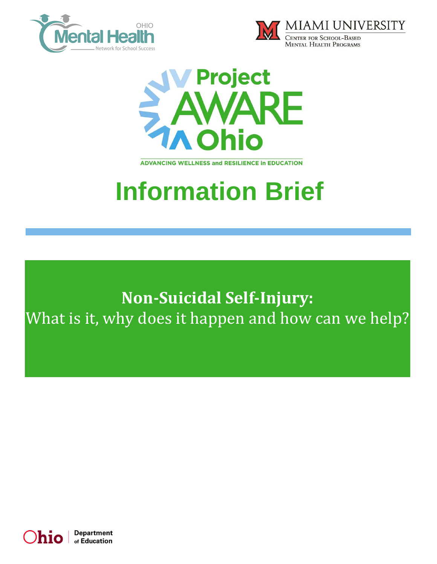





**ADVANCING WELLNESS and RESILIENCE In EDUCATION** 

# **Information Brief**

# **Non-Suicidal Self-Injury:**  What is it, why does it happen and how can we help?

Department h10 of Education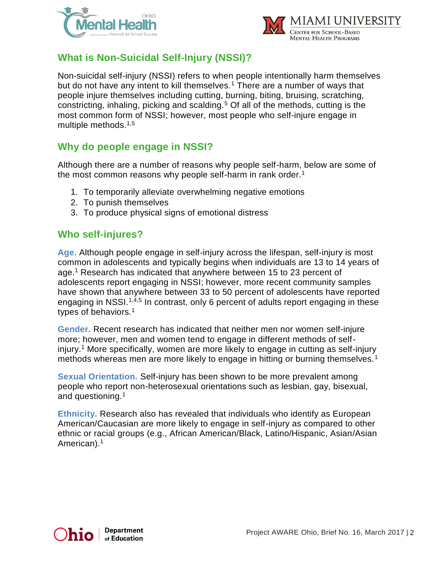



## **What is Non-Suicidal Self-Injury (NSSI)?**

Non-suicidal self-injury (NSSI) refers to when people intentionally harm themselves but do not have any intent to kill themselves.<sup>1</sup> There are a number of ways that people injure themselves including cutting, burning, biting, bruising, scratching, constricting, inhaling, picking and scalding.<sup>5</sup> Of all of the methods, cutting is the most common form of NSSI; however, most people who self-injure engage in multiple methods.1,5

#### **Why do people engage in NSSI?**

Although there are a number of reasons why people self-harm, below are some of the most common reasons why people self-harm in rank order.<sup>1</sup>

- 1. To temporarily alleviate overwhelming negative emotions
- 2. To punish themselves
- 3. To produce physical signs of emotional distress

#### **Who self-injures?**

**Age**. Although people engage in self-injury across the lifespan, self-injury is most common in adolescents and typically begins when individuals are 13 to 14 years of age.<sup>1</sup> Research has indicated that anywhere between 15 to 23 percent of adolescents report engaging in NSSI; however, more recent community samples have shown that anywhere between 33 to 50 percent of adolescents have reported engaging in NSSI.<sup>1,4,5</sup> In contrast, only 6 percent of adults report engaging in these types of behaviors.<sup>1</sup>

**Gender.** Recent research has indicated that neither men nor women self-injure more; however, men and women tend to engage in different methods of selfinjury.<sup>1</sup> More specifically, women are more likely to engage in cutting as self-injury methods whereas men are more likely to engage in hitting or burning themselves.<sup>1</sup>

**Sexual Orientation.** Self-injury has been shown to be more prevalent among people who report non-heterosexual orientations such as lesbian, gay, bisexual, and questioning.<sup>1</sup>

**Ethnicity.** Research also has revealed that individuals who identify as European American/Caucasian are more likely to engage in self-injury as compared to other ethnic or racial groups (e.g., African American/Black, Latino/Hispanic, Asian/Asian American).<sup>1</sup>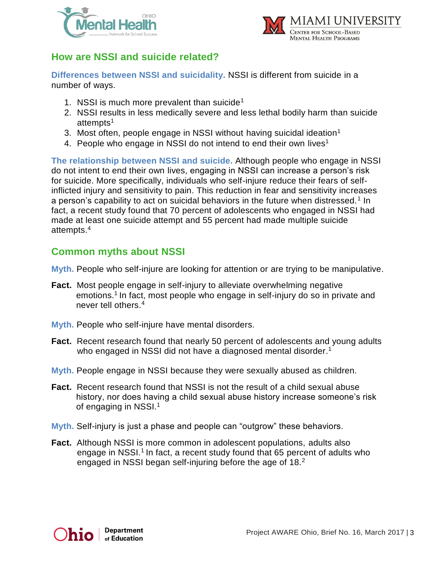



#### **How are NSSI and suicide related?**

**Differences between NSSI and suicidality.** NSSI is different from suicide in a number of ways.

- 1. NSSI is much more prevalent than suicide<sup>1</sup>
- 2. NSSI results in less medically severe and less lethal bodily harm than suicide attempts<sup>1</sup>
- 3. Most often, people engage in NSSI without having suicidal ideation<sup>1</sup>
- 4. People who engage in NSSI do not intend to end their own lives<sup>1</sup>

**The relationship between NSSI and suicide.** Although people who engage in NSSI do not intent to end their own lives, engaging in NSSI can increase a person's risk for suicide. More specifically, individuals who self-injure reduce their fears of selfinflicted injury and sensitivity to pain. This reduction in fear and sensitivity increases a person's capability to act on suicidal behaviors in the future when distressed.<sup>1</sup> In fact, a recent study found that 70 percent of adolescents who engaged in NSSI had made at least one suicide attempt and 55 percent had made multiple suicide attempts.<sup>4</sup>

#### **Common myths about NSSI**

**Myth.** People who self-injure are looking for attention or are trying to be manipulative.

- **Fact.** Most people engage in self-injury to alleviate overwhelming negative emotions.<sup>1</sup> In fact, most people who engage in self-injury do so in private and never tell others.<sup>4</sup>
- **Myth.** People who self-injure have mental disorders.
- **Fact.** Recent research found that nearly 50 percent of adolescents and young adults who engaged in NSSI did not have a diagnosed mental disorder.<sup>1</sup>
- **Myth.** People engage in NSSI because they were sexually abused as children.
- **Fact.** Recent research found that NSSI is not the result of a child sexual abuse history, nor does having a child sexual abuse history increase someone's risk of engaging in NSSI.<sup>1</sup>
- **Myth.** Self-injury is just a phase and people can "outgrow" these behaviors.
- **Fact.** Although NSSI is more common in adolescent populations, adults also engage in NSSI.<sup>1</sup> In fact, a recent study found that 65 percent of adults who engaged in NSSI began self-injuring before the age of 18.<sup>2</sup>

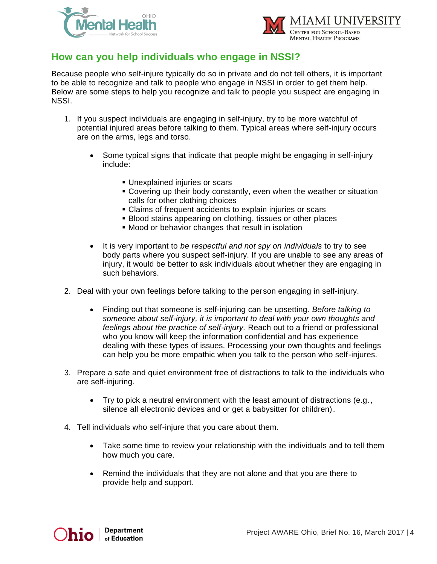



#### **How can you help individuals who engage in NSSI?**

Because people who self-injure typically do so in private and do not tell others, it is important to be able to recognize and talk to people who engage in NSSI in order to get them help. Below are some steps to help you recognize and talk to people you suspect are engaging in NSSI.

- 1. If you suspect individuals are engaging in self-injury, try to be more watchful of potential injured areas before talking to them. Typical areas where self-injury occurs are on the arms, legs and torso.
	- Some typical signs that indicate that people might be engaging in self-injury include:
		- **.** Unexplained injuries or scars
		- Covering up their body constantly, even when the weather or situation calls for other clothing choices
		- **EXECT** Claims of frequent accidents to explain injuries or scars
		- **Blood stains appearing on clothing, tissues or other places**
		- **Mood or behavior changes that result in isolation**
	- It is very important to *be respectful and not spy on individuals* to try to see body parts where you suspect self-injury. If you are unable to see any areas of injury, it would be better to ask individuals about whether they are engaging in such behaviors.
- 2. Deal with your own feelings before talking to the person engaging in self-injury.
	- Finding out that someone is self-injuring can be upsetting*. Before talking to someone about self-injury, it is important to deal with your own thoughts and feelings about the practice of self-injury.* Reach out to a friend or professional who you know will keep the information confidential and has experience dealing with these types of issues. Processing your own thoughts and feelings can help you be more empathic when you talk to the person who self-injures.
- 3. Prepare a safe and quiet environment free of distractions to talk to the individuals who are self-injuring.
	- Try to pick a neutral environment with the least amount of distractions (e.g., silence all electronic devices and or get a babysitter for children).
- 4. Tell individuals who self-injure that you care about them.
	- Take some time to review your relationship with the individuals and to tell them how much you care.
	- Remind the individuals that they are not alone and that you are there to provide help and support.

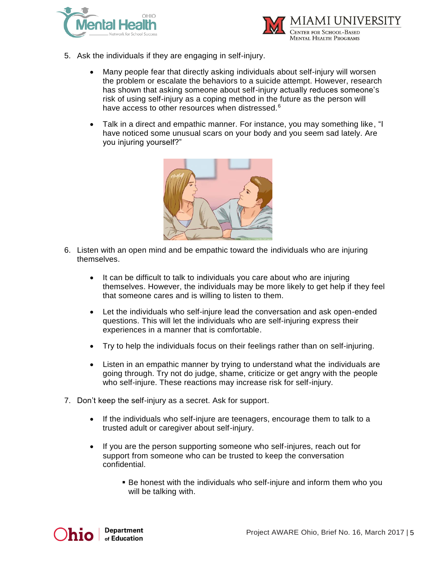



- 5. Ask the individuals if they are engaging in self-injury.
	- Many people fear that directly asking individuals about self-injury will worsen the problem or escalate the behaviors to a suicide attempt. However, research has shown that asking someone about self-injury actually reduces someone's risk of using self-injury as a coping method in the future as the person will have access to other resources when distressed.<sup>6</sup>
	- Talk in a direct and empathic manner. For instance, you may something like, "I have noticed some unusual scars on your body and you seem sad lately. Are you injuring yourself?"



- 6. Listen with an open mind and be empathic toward the individuals who are injuring themselves.
	- It can be difficult to talk to individuals you care about who are injuring themselves. However, the individuals may be more likely to get help if they feel that someone cares and is willing to listen to them.
	- Let the individuals who self-injure lead the conversation and ask open-ended questions. This will let the individuals who are self-injuring express their experiences in a manner that is comfortable.
	- Try to help the individuals focus on their feelings rather than on self-injuring.
	- Listen in an empathic manner by trying to understand what the individuals are going through. Try not do judge, shame, criticize or get angry with the people who self-injure. These reactions may increase risk for self-injury.
- 7. Don't keep the self-injury as a secret. Ask for support.
	- If the individuals who self-injure are teenagers, encourage them to talk to a trusted adult or caregiver about self-injury.
	- If you are the person supporting someone who self-injures, reach out for support from someone who can be trusted to keep the conversation confidential.
		- **E** Be honest with the individuals who self-injure and inform them who you will be talking with.

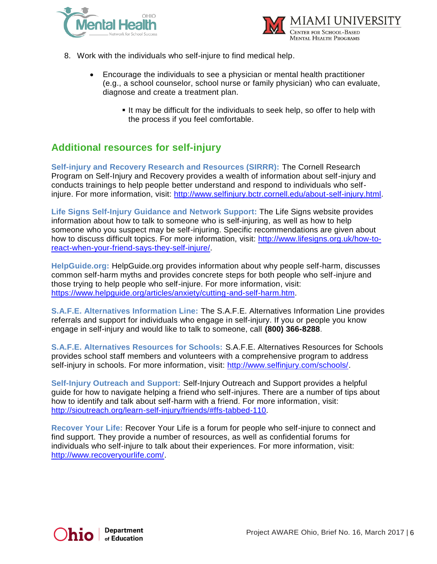



- 8. Work with the individuals who self-injure to find medical help.
	- Encourage the individuals to see a physician or mental health practitioner (e.g., a school counselor, school nurse or family physician) who can evaluate, diagnose and create a treatment plan.
		- **.** It may be difficult for the individuals to seek help, so offer to help with the process if you feel comfortable.

### **Additional resources for self-injury**

**Self-injury and Recovery Research and Resources (SIRRR):** The Cornell Research Program on Self-Injury and Recovery provides a wealth of information about self-injury and conducts trainings to help people better understand and respond to individuals who selfinjure. For more information, visit: [http://www.selfinjury.bctr.cornell.edu/about-self-injury.html.](http://www.selfinjury.bctr.cornell.edu/about-self-injury.html)

**Life Signs Self-Injury Guidance and Network Support:** The Life Signs website provides information about how to talk to someone who is self-injuring, as well as how to help someone who you suspect may be self-injuring. Specific recommendations are given about how to discuss difficult topics. For more information, visit: [http://www.lifesigns.org.uk/how-to](http://www.lifesigns.org.uk/how-to-react-when-your-friend-says-they-self-injure/)[react-when-your-friend-says-they-self-injure/.](http://www.lifesigns.org.uk/how-to-react-when-your-friend-says-they-self-injure/)

**HelpGuide.org:** HelpGuide.org provides information about why people self-harm, discusses common self-harm myths and provides concrete steps for both people who self-injure and those trying to help people who self-injure. For more information, visit: [https://www.helpguide.org/articles/anxiety/cutting-and-self-harm.htm.](https://www.helpguide.org/articles/anxiety/cutting-and-self-harm.htm)

**S.A.F.E. Alternatives Information Line:** The S.A.F.E. Alternatives Information Line provides referrals and support for individuals who engage in self-injury. If you or people you know engage in self-injury and would like to talk to someone, call **(800) 366-8288.**

**S.A.F.E. Alternatives Resources for Schools:** S.A.F.E. Alternatives Resources for Schools provides school staff members and volunteers with a comprehensive program to address self-injury in schools. For more information, visit: [http://www.selfinjury.com/schools/.](http://www.selfinjury.com/schools/)

**Self-Injury Outreach and Support:** Self-Injury Outreach and Support provides a helpful guide for how to navigate helping a friend who self-injures. There are a number of tips about how to identify and talk about self-harm with a friend. For more information, visit: [http://sioutreach.org/learn-self-injury/friends/#ffs-tabbed-110.](http://sioutreach.org/learn-self-injury/friends/#ffs-tabbed-110)

**Recover Your Life:** Recover Your Life is a forum for people who self-injure to connect and find support. They provide a number of resources, as well as confidential forums for individuals who self-injure to talk about their experiences. For more information, visit: [http://www.recoveryourlife.com/.](http://www.recoveryourlife.com/)